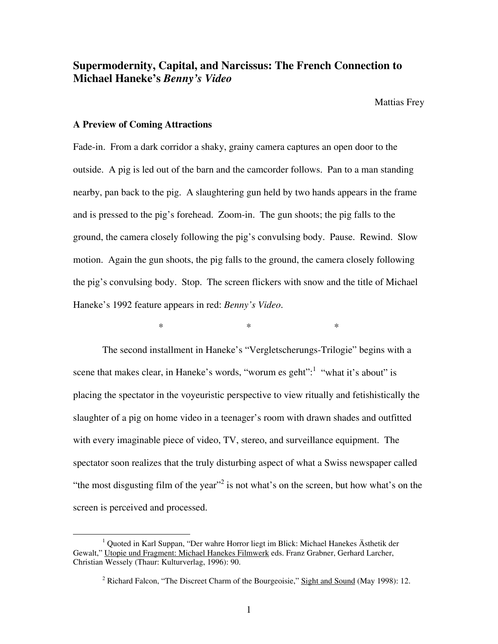# **Supermodernity, Capital, and Narcissus: The French Connection to Michael Haneke's** *Benny's Video*

Mattias Frey

#### **A Preview of Coming Attractions**

Fade-in. From a dark corridor a shaky, grainy camera captures an open door to the outside. A pig is led out of the barn and the camcorder follows. Pan to a man standing nearby, pan back to the pig. A slaughtering gun held by two hands appears in the frame and is pressed to the pig's forehead. Zoom-in. The gun shoots; the pig falls to the ground, the camera closely following the pig's convulsing body. Pause. Rewind. Slow motion. Again the gun shoots, the pig falls to the ground, the camera closely following the pig's convulsing body. Stop. The screen flickers with snow and the title of Michael Haneke's 1992 feature appears in red: *Benny's Video*.

 $*$   $*$   $*$ 

The second installment in Haneke's "Vergletscherungs-Trilogie" begins with a scene that makes clear, in Haneke's words, "worum es geht": $1$  "what it's about" is placing the spectator in the voyeuristic perspective to view ritually and fetishistically the slaughter of a pig on home video in a teenager's room with drawn shades and outfitted with every imaginable piece of video, TV, stereo, and surveillance equipment. The spectator soon realizes that the truly disturbing aspect of what a Swiss newspaper called "the most disgusting film of the year"<sup>[2](#page-0-1)</sup> is not what's on the screen, but how what's on the screen is perceived and processed.

<span id="page-0-0"></span> $\frac{1}{1}$  Quoted in Karl Suppan, "Der wahre Horror liegt im Blick: Michael Hanekes Ästhetik der Gewalt," Utopie und Fragment: Michael Hanekes Filmwerk eds. Franz Grabner, Gerhard Larcher, Christian Wessely (Thaur: Kulturverlag, 1996): 90.

<span id="page-0-1"></span><sup>&</sup>lt;sup>2</sup> Richard Falcon, "The Discreet Charm of the Bourgeoisie," Sight and Sound (May 1998): 12.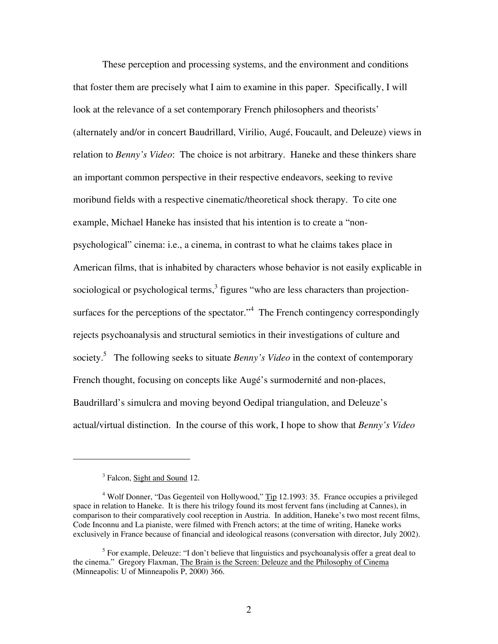These perception and processing systems, and the environment and conditions that foster them are precisely what I aim to examine in this paper. Specifically, I will look at the relevance of a set contemporary French philosophers and theorists' (alternately and/or in concert Baudrillard, Virilio, Augé, Foucault, and Deleuze) views in relation to *Benny's Video*: The choice is not arbitrary. Haneke and these thinkers share an important common perspective in their respective endeavors, seeking to revive moribund fields with a respective cinematic/theoretical shock therapy. To cite one example, Michael Haneke has insisted that his intention is to create a "nonpsychological" cinema: i.e., a cinema, in contrast to what he claims takes place in American films, that is inhabited by characters whose behavior is not easily explicable in sociological or psychological terms, $3$  figures "who are less characters than projectionsurfaces for the perceptions of the spectator. $14$  $14$  The French contingency correspondingly rejects psychoanalysis and structural semiotics in their investigations of culture and society.<sup>[5](#page-1-2)</sup> The following seeks to situate *Benny's Video* in the context of contemporary French thought, focusing on concepts like Augé's surmodernité and non-places, Baudrillard's simulcra and moving beyond Oedipal triangulation, and Deleuze's actual/virtual distinction. In the course of this work, I hope to show that *Benny's Video*

 $\overline{a}$ 

<span id="page-1-1"></span><span id="page-1-0"></span><sup>&</sup>lt;sup>3</sup> Falcon, **Sight and Sound** 12.

<sup>&</sup>lt;sup>4</sup> Wolf Donner, "Das Gegenteil von Hollywood," Tip 12.1993: 35. France occupies a privileged space in relation to Haneke. It is there his trilogy found its most fervent fans (including at Cannes), in comparison to their comparatively cool reception in Austria. In addition, Haneke's two most recent films, Code Inconnu and La pianiste, were filmed with French actors; at the time of writing, Haneke works exclusively in France because of financial and ideological reasons (conversation with director, July 2002).

<span id="page-1-2"></span> $<sup>5</sup>$  For example, Deleuze: "I don't believe that linguistics and psychoanalysis offer a great deal to</sup> the cinema." Gregory Flaxman, The Brain is the Screen: Deleuze and the Philosophy of Cinema (Minneapolis: U of Minneapolis P, 2000) 366.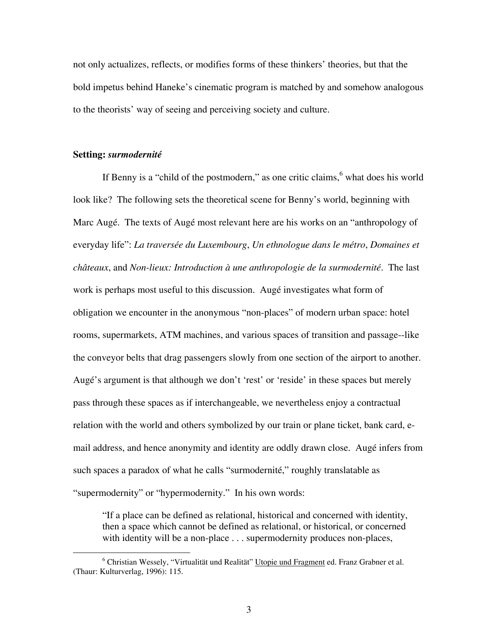not only actualizes, reflects, or modifies forms of these thinkers' theories, but that the bold impetus behind Haneke's cinematic program is matched by and somehow analogous to the theorists' way of seeing and perceiving society and culture.

#### **Setting:** *surmodernité*

If Benny is a "child of the postmodern," as one critic claims,  $6$  what does his world look like? The following sets the theoretical scene for Benny's world, beginning with Marc Augé. The texts of Augé most relevant here are his works on an "anthropology of everyday life": *La traversée du Luxembourg*, *Un ethnologue dans le métro*, *Domaines et châteaux*, and *Non-lieux: Introduction à une anthropologie de la surmodernité*. The last work is perhaps most useful to this discussion. Augé investigates what form of obligation we encounter in the anonymous "non-places" of modern urban space: hotel rooms, supermarkets, ATM machines, and various spaces of transition and passage--like the conveyor belts that drag passengers slowly from one section of the airport to another. Augé's argument is that although we don't 'rest' or 'reside' in these spaces but merely pass through these spaces as if interchangeable, we nevertheless enjoy a contractual relation with the world and others symbolized by our train or plane ticket, bank card, email address, and hence anonymity and identity are oddly drawn close. Augé infers from such spaces a paradox of what he calls "surmodernité," roughly translatable as "supermodernity" or "hypermodernity." In his own words:

"If a place can be defined as relational, historical and concerned with identity, then a space which cannot be defined as relational, or historical, or concerned with identity will be a non-place . . . supermodernity produces non-places,

<span id="page-2-0"></span> <sup>6</sup> Christian Wessely, "Virtualität und Realität" Utopie und Fragment ed. Franz Grabner et al. (Thaur: Kulturverlag, 1996): 115.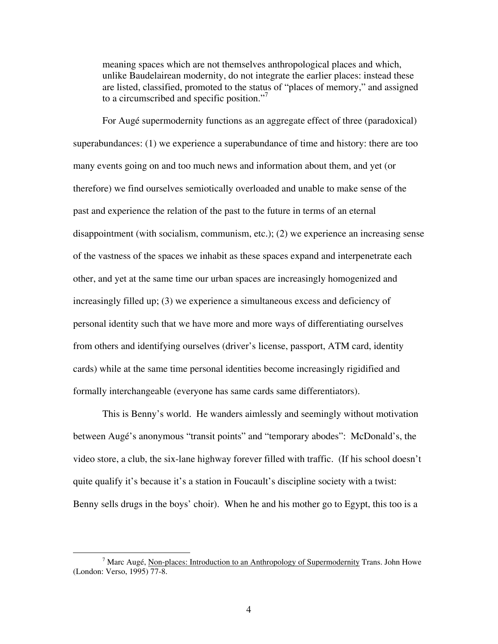meaning spaces which are not themselves anthropological places and which, unlike Baudelairean modernity, do not integrate the earlier places: instead these are listed, classified, promoted to the status of "places of memory," and assigned to a circumscribed and specific position."<sup>[7](#page-3-0)</sup>

For Augé supermodernity functions as an aggregate effect of three (paradoxical) superabundances: (1) we experience a superabundance of time and history: there are too many events going on and too much news and information about them, and yet (or therefore) we find ourselves semiotically overloaded and unable to make sense of the past and experience the relation of the past to the future in terms of an eternal disappointment (with socialism, communism, etc.); (2) we experience an increasing sense of the vastness of the spaces we inhabit as these spaces expand and interpenetrate each other, and yet at the same time our urban spaces are increasingly homogenized and increasingly filled up; (3) we experience a simultaneous excess and deficiency of personal identity such that we have more and more ways of differentiating ourselves from others and identifying ourselves (driver's license, passport, ATM card, identity cards) while at the same time personal identities become increasingly rigidified and formally interchangeable (everyone has same cards same differentiators).

This is Benny's world. He wanders aimlessly and seemingly without motivation between Augé's anonymous "transit points" and "temporary abodes": McDonald's, the video store, a club, the six-lane highway forever filled with traffic. (If his school doesn't quite qualify it's because it's a station in Foucault's discipline society with a twist: Benny sells drugs in the boys' choir). When he and his mother go to Egypt, this too is a

<span id="page-3-0"></span> $\frac{1}{7}$  $\frac{7}{1}$  Marc Augé, <u>Non-places: Introduction to an Anthropology of Supermodernity</u> Trans. John Howe (London: Verso, 1995) 77-8.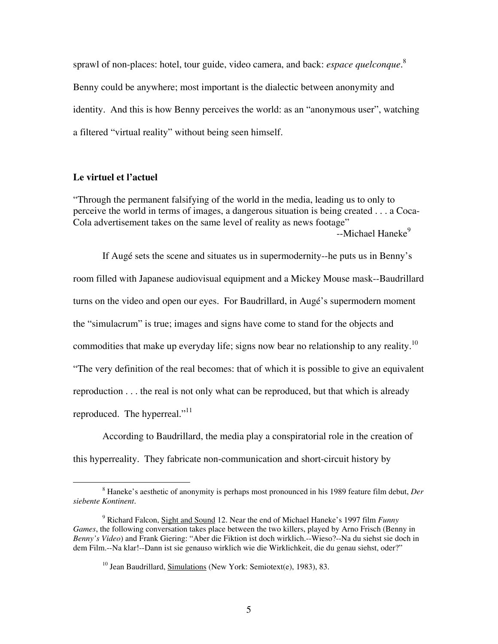sprawl of non-places: hotel, tour guide, video camera, and back: *espace quelconque*. [8](#page-4-0) Benny could be anywhere; most important is the dialectic between anonymity and identity. And this is how Benny perceives the world: as an "anonymous user", watching a filtered "virtual reality" without being seen himself.

# **Le virtuel et l'actuel**

"Through the permanent falsifying of the world in the media, leading us to only to perceive the world in terms of images, a dangerous situation is being created . . . a Coca-Cola advertisement takes on the same level of reality as news footage" --Michael Haneke<sup>[9](#page-4-1)</sup>

If Augé sets the scene and situates us in supermodernity--he puts us in Benny's room filled with Japanese audiovisual equipment and a Mickey Mouse mask--Baudrillard turns on the video and open our eyes. For Baudrillard, in Augé's supermodern moment the "simulacrum" is true; images and signs have come to stand for the objects and commodities that make up everyday life; signs now bear no relationship to any reality.<sup>[10](#page-4-2)</sup> "The very definition of the real becomes: that of which it is possible to give an equivalent reproduction . . . the real is not only what can be reproduced, but that which is already reproduced. The hyperreal."<sup>[11](#page-4-3)</sup>

According to Baudrillard, the media play a conspiratorial role in the creation of this hyperreality. They fabricate non-communication and short-circuit history by

<span id="page-4-0"></span> $\frac{1}{8}$  Haneke's aesthetic of anonymity is perhaps most pronounced in his 1989 feature film debut, *Der siebente Kontinent*.

<span id="page-4-3"></span><span id="page-4-1"></span><sup>9</sup> Richard Falcon, Sight and Sound 12. Near the end of Michael Haneke's 1997 film *Funny Games*, the following conversation takes place between the two killers, played by Arno Frisch (Benny in *Benny's Video*) and Frank Giering: "Aber die Fiktion ist doch wirklich.--Wieso?--Na du siehst sie doch in dem Film.--Na klar!--Dann ist sie genauso wirklich wie die Wirklichkeit, die du genau siehst, oder?"

<span id="page-4-2"></span><sup>&</sup>lt;sup>10</sup> Jean Baudrillard, Simulations (New York: Semiotext(e), 1983), 83.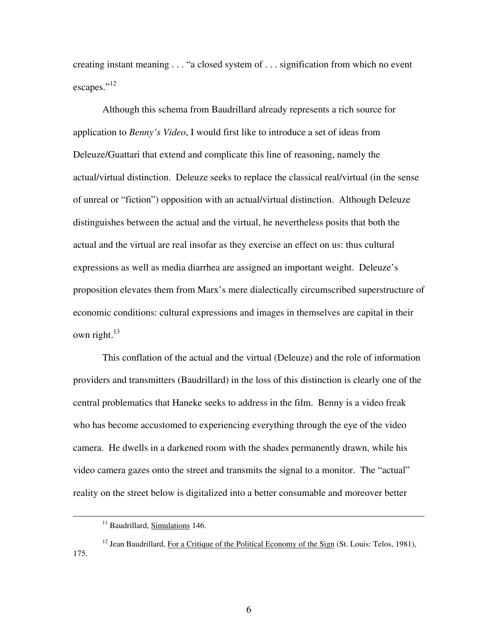creating instant meaning . . . "a closed system of . . . signification from which no event escapes."<sup>[12](#page-5-0)</sup>

Although this schema from Baudrillard already represents a rich source for application to *Benny's Video*, I would first like to introduce a set of ideas from Deleuze/Guattari that extend and complicate this line of reasoning, namely the actual/virtual distinction. Deleuze seeks to replace the classical real/virtual (in the sense of unreal or "fiction") opposition with an actual/virtual distinction. Although Deleuze distinguishes between the actual and the virtual, he nevertheless posits that both the actual and the virtual are real insofar as they exercise an effect on us: thus cultural expressions as well as media diarrhea are assigned an important weight. Deleuze's proposition elevates them from Marx's mere dialectically circumscribed superstructure of economic conditions: cultural expressions and images in themselves are capital in their own right. $13$ 

This conflation of the actual and the virtual (Deleuze) and the role of information providers and transmitters (Baudrillard) in the loss of this distinction is clearly one of the central problematics that Haneke seeks to address in the film. Benny is a video freak who has become accustomed to experiencing everything through the eye of the video camera. He dwells in a darkened room with the shades permanently drawn, while his video camera gazes onto the street and transmits the signal to a monitor. The "actual" reality on the street below is digitalized into a better consumable and moreover better

<span id="page-5-1"></span><sup>&</sup>lt;sup>11</sup> Baudrillard, Simulations 146.

<span id="page-5-0"></span><sup>&</sup>lt;sup>12</sup> Jean Baudrillard, For a Critique of the Political Economy of the Sign (St. Louis: Telos, 1981), 175.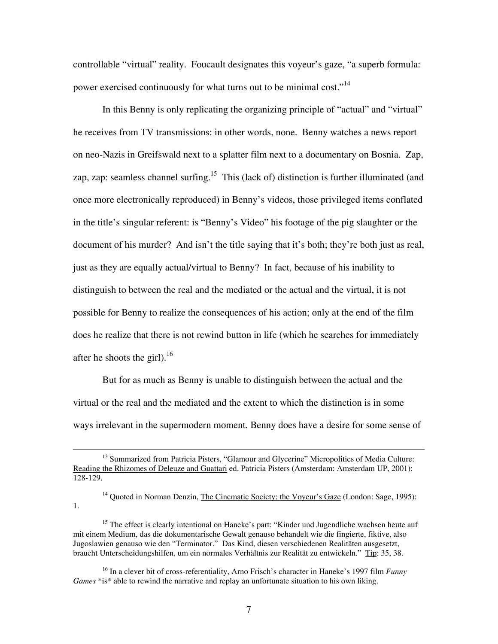controllable "virtual" reality. Foucault designates this voyeur's gaze, "a superb formula: power exercised continuously for what turns out to be minimal cost."<sup>[14](#page-6-0)</sup>

In this Benny is only replicating the organizing principle of "actual" and "virtual" he receives from TV transmissions: in other words, none. Benny watches a news report on neo-Nazis in Greifswald next to a splatter film next to a documentary on Bosnia. Zap, zap, zap: seamless channel surfing.<sup>15</sup> This (lack of) distinction is further illuminated (and once more electronically reproduced) in Benny's videos, those privileged items conflated in the title's singular referent: is "Benny's Video" his footage of the pig slaughter or the document of his murder? And isn't the title saying that it's both; they're both just as real, just as they are equally actual/virtual to Benny? In fact, because of his inability to distinguish to between the real and the mediated or the actual and the virtual, it is not possible for Benny to realize the consequences of his action; only at the end of the film does he realize that there is not rewind button in life (which he searches for immediately after he shoots the girl).<sup>[16](#page-6-2)</sup>

But for as much as Benny is unable to distinguish between the actual and the virtual or the real and the mediated and the extent to which the distinction is in some ways irrelevant in the supermodern moment, Benny does have a desire for some sense of

<span id="page-6-0"></span><sup>14</sup> Quoted in Norman Denzin, The Cinematic Society: the Voyeur's Gaze (London: Sage, 1995): 1.

<span id="page-6-1"></span><sup>15</sup> The effect is clearly intentional on Haneke's part: "Kinder und Jugendliche wachsen heute auf mit einem Medium, das die dokumentarische Gewalt genauso behandelt wie die fingierte, fiktive, also Jugoslawien genauso wie den "Terminator." Das Kind, diesen verschiedenen Realitäten ausgesetzt, braucht Unterscheidungshilfen, um ein normales Verhältnis zur Realität zu entwickeln." Tip: 35, 38.

<sup>&</sup>lt;sup>13</sup> Summarized from Patricia Pisters, "Glamour and Glycerine" Micropolitics of Media Culture: Reading the Rhizomes of Deleuze and Guattari ed. Patricia Pisters (Amsterdam: Amsterdam UP, 2001): 128-129.

<span id="page-6-2"></span><sup>16</sup> In a clever bit of cross-referentiality, Arno Frisch's character in Haneke's 1997 film *Funny Games* \*is\* able to rewind the narrative and replay an unfortunate situation to his own liking.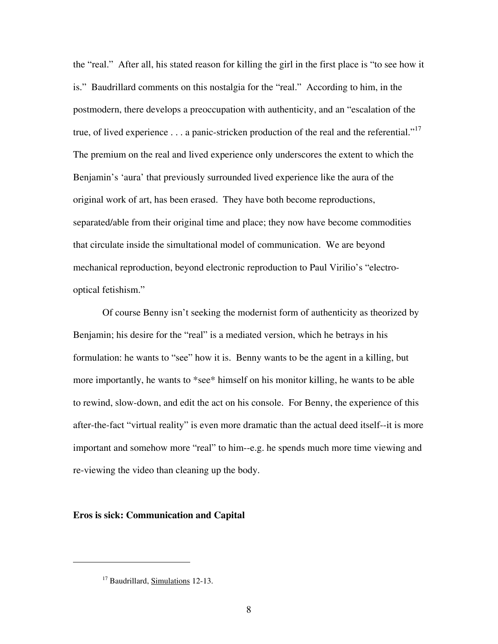the "real." After all, his stated reason for killing the girl in the first place is "to see how it is." Baudrillard comments on this nostalgia for the "real." According to him, in the postmodern, there develops a preoccupation with authenticity, and an "escalation of the true, of lived experience  $\dots$  a panic-stricken production of the real and the referential."<sup>[17](#page-7-0)</sup> The premium on the real and lived experience only underscores the extent to which the Benjamin's 'aura' that previously surrounded lived experience like the aura of the original work of art, has been erased. They have both become reproductions, separated/able from their original time and place; they now have become commodities that circulate inside the simultational model of communication. We are beyond mechanical reproduction, beyond electronic reproduction to Paul Virilio's "electrooptical fetishism."

Of course Benny isn't seeking the modernist form of authenticity as theorized by Benjamin; his desire for the "real" is a mediated version, which he betrays in his formulation: he wants to "see" how it is. Benny wants to be the agent in a killing, but more importantly, he wants to \*see\* himself on his monitor killing, he wants to be able to rewind, slow-down, and edit the act on his console. For Benny, the experience of this after-the-fact "virtual reality" is even more dramatic than the actual deed itself--it is more important and somehow more "real" to him--e.g. he spends much more time viewing and re-viewing the video than cleaning up the body.

# **Eros is sick: Communication and Capital**

<span id="page-7-0"></span> $\overline{a}$ 

<sup>&</sup>lt;sup>17</sup> Baudrillard, Simulations 12-13.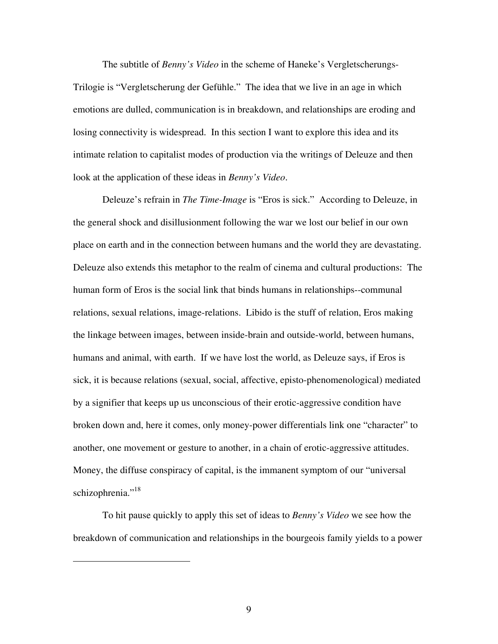<span id="page-8-0"></span>The subtitle of *Benny's Video* in the scheme of Haneke's Vergletscherungs-Trilogie is "Vergletscherung der Gefühle." The idea that we live in an age in which emotions are dulled, communication is in breakdown, and relationships are eroding and losing connectivity is widespread. In this section I want to explore this idea and its intimate relation to capitalist modes of production via the writings of Deleuze and then look at the application of these ideas in *Benny's Video*.

Deleuze's refrain in *The Time-Image* is "Eros is sick." According to Deleuze, in the general shock and disillusionment following the war we lost our belief in our own place on earth and in the connection between humans and the world they are devastating. Deleuze also extends this metaphor to the realm of cinema and cultural productions: The human form of Eros is the social link that binds humans in relationships--communal relations, sexual relations, image-relations. Libido is the stuff of relation, Eros making the linkage between images, between inside-brain and outside-world, between humans, humans and animal, with earth. If we have lost the world, as Deleuze says, if Eros is sick, it is because relations (sexual, social, affective, episto-phenomenological) mediated by a signifier that keeps up us unconscious of their erotic-aggressive condition have broken down and, here it comes, only money-power differentials link one "character" to another, one movement or gesture to another, in a chain of erotic-aggressive attitudes. Money, the diffuse conspiracy of capital, is the immanent symptom of our "universal schizophrenia."<sup>[18](#page-8-0)</sup>

To hit pause quickly to apply this set of ideas to *Benny's Video* we see how the breakdown of communication and relationships in the bourgeois family yields to a power

1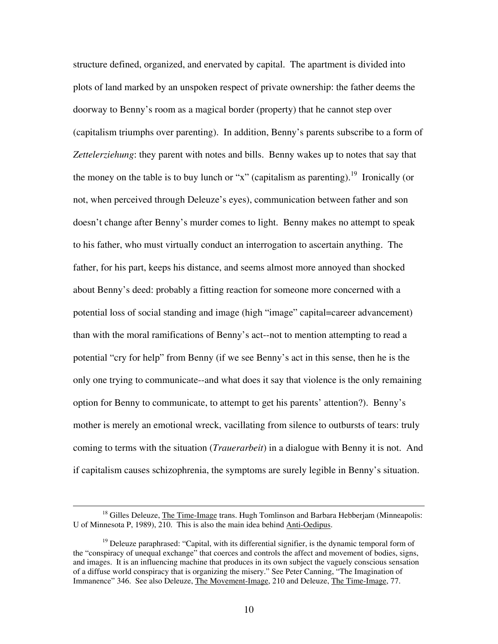structure defined, organized, and enervated by capital. The apartment is divided into plots of land marked by an unspoken respect of private ownership: the father deems the doorway to Benny's room as a magical border (property) that he cannot step over (capitalism triumphs over parenting). In addition, Benny's parents subscribe to a form of *Zettelerziehung*: they parent with notes and bills. Benny wakes up to notes that say that the money on the table is to buy lunch or "x" (capitalism as parenting).<sup>19</sup> Ironically (or not, when perceived through Deleuze's eyes), communication between father and son doesn't change after Benny's murder comes to light. Benny makes no attempt to speak to his father, who must virtually conduct an interrogation to ascertain anything. The father, for his part, keeps his distance, and seems almost more annoyed than shocked about Benny's deed: probably a fitting reaction for someone more concerned with a potential loss of social standing and image (high "image" capital=career advancement) than with the moral ramifications of Benny's act--not to mention attempting to read a potential "cry for help" from Benny (if we see Benny's act in this sense, then he is the only one trying to communicate--and what does it say that violence is the only remaining option for Benny to communicate, to attempt to get his parents' attention?). Benny's mother is merely an emotional wreck, vacillating from silence to outbursts of tears: truly coming to terms with the situation (*Trauerarbeit*) in a dialogue with Benny it is not. And if capitalism causes schizophrenia, the symptoms are surely legible in Benny's situation.

<sup>&</sup>lt;sup>18</sup> Gilles Deleuze, *The Time-Image* trans. Hugh Tomlinson and Barbara Hebberjam (Minneapolis: U of Minnesota P, 1989), 210. This is also the main idea behind Anti-Oedipus.

<span id="page-9-0"></span><sup>&</sup>lt;sup>19</sup> Deleuze paraphrased: "Capital, with its differential signifier, is the dynamic temporal form of the "conspiracy of unequal exchange" that coerces and controls the affect and movement of bodies, signs, and images. It is an influencing machine that produces in its own subject the vaguely conscious sensation of a diffuse world conspiracy that is organizing the misery." See Peter Canning, "The Imagination of Immanence" 346. See also Deleuze, The Movement-Image, 210 and Deleuze, The Time-Image, 77.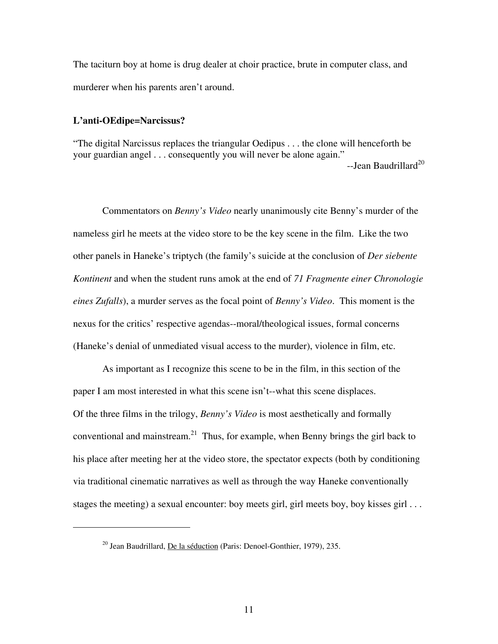The taciturn boy at home is drug dealer at choir practice, brute in computer class, and murderer when his parents aren't around.

### **L'anti-OEdipe=Narcissus?**

<span id="page-10-1"></span><span id="page-10-0"></span> $\overline{a}$ 

"The digital Narcissus replaces the triangular Oedipus . . . the clone will henceforth be your guardian angel . . . consequently you will never be alone again." --Jean Baudrillard<sup>[20](#page-10-0)</sup>

Commentators on *Benny's Video* nearly unanimously cite Benny's murder of the nameless girl he meets at the video store to be the key scene in the film. Like the two other panels in Haneke's triptych (the family's suicide at the conclusion of *Der siebente Kontinent* and when the student runs amok at the end of *71 Fragmente einer Chronologie eines Zufalls*), a murder serves as the focal point of *Benny's Video*. This moment is the nexus for the critics' respective agendas--moral/theological issues, formal concerns (Haneke's denial of unmediated visual access to the murder), violence in film, etc.

As important as I recognize this scene to be in the film, in this section of the paper I am most interested in what this scene isn't--what this scene displaces. Of the three films in the trilogy, *Benny's Video* is most aesthetically and formally conventional and mainstream.<sup>21</sup> Thus, for example, when Benny brings the girl back to his place after meeting her at the video store, the spectator expects (both by conditioning via traditional cinematic narratives as well as through the way Haneke conventionally stages the meeting) a sexual encounter: boy meets girl, girl meets boy, boy kisses girl . . .

 $^{20}$  Jean Baudrillard, De la séduction (Paris: Denoel-Gonthier, 1979), 235.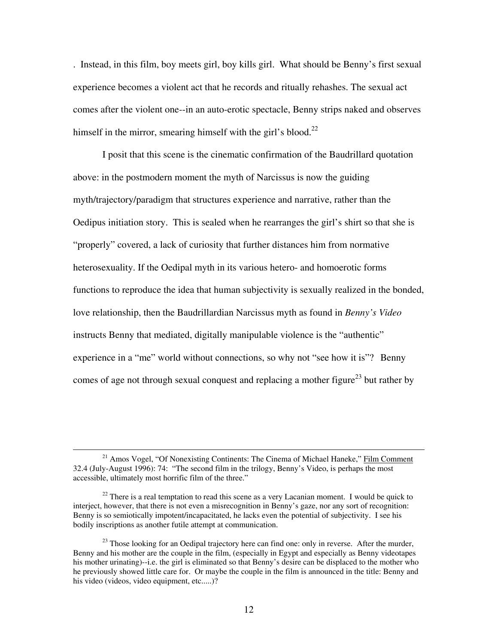. Instead, in this film, boy meets girl, boy kills girl. What should be Benny's first sexual experience becomes a violent act that he records and ritually rehashes. The sexual act comes after the violent one--in an auto-erotic spectacle, Benny strips naked and observes himself in the mirror, smearing himself with the girl's blood.<sup>[22](#page-11-0)</sup>

I posit that this scene is the cinematic confirmation of the Baudrillard quotation above: in the postmodern moment the myth of Narcissus is now the guiding myth/trajectory/paradigm that structures experience and narrative, rather than the Oedipus initiation story. This is sealed when he rearranges the girl's shirt so that she is "properly" covered, a lack of curiosity that further distances him from normative heterosexuality. If the Oedipal myth in its various hetero- and homoerotic forms functions to reproduce the idea that human subjectivity is sexually realized in the bonded, love relationship, then the Baudrillardian Narcissus myth as found in *Benny's Video* instructs Benny that mediated, digitally manipulable violence is the "authentic" experience in a "me" world without connections, so why not "see how it is"? Benny comes of age not through sexual conquest and replacing a mother figure<sup>23</sup> but rather by

<sup>&</sup>lt;sup>21</sup> Amos Vogel, "Of Nonexisting Continents: The Cinema of Michael Haneke," Film Comment 32.4 (July-August 1996): 74: "The second film in the trilogy, Benny's Video, is perhaps the most accessible, ultimately most horrific film of the three."

<span id="page-11-0"></span> $2<sup>22</sup>$  There is a real temptation to read this scene as a very Lacanian moment. I would be quick to interject, however, that there is not even a misrecognition in Benny's gaze, nor any sort of recognition: Benny is so semiotically impotent/incapacitated, he lacks even the potential of subjectivity. I see his bodily inscriptions as another futile attempt at communication.

<span id="page-11-1"></span> $^{23}$  Those looking for an Oedipal trajectory here can find one: only in reverse. After the murder, Benny and his mother are the couple in the film, (especially in Egypt and especially as Benny videotapes his mother urinating)--i.e. the girl is eliminated so that Benny's desire can be displaced to the mother who he previously showed little care for. Or maybe the couple in the film is announced in the title: Benny and his video (videos, video equipment, etc.....)?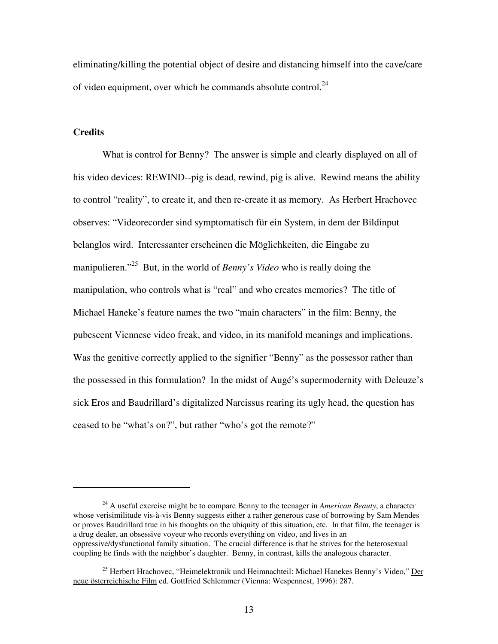eliminating/killing the potential object of desire and distancing himself into the cave/care of video equipment, over which he commands absolute control.<sup>[24](#page-12-0)</sup>

## **Credits**

 $\overline{a}$ 

What is control for Benny? The answer is simple and clearly displayed on all of his video devices: REWIND--pig is dead, rewind, pig is alive. Rewind means the ability to control "reality", to create it, and then re-create it as memory. As Herbert Hrachovec observes: "Videorecorder sind symptomatisch für ein System, in dem der Bildinput belanglos wird. Interessanter erscheinen die Möglichkeiten, die Eingabe zu manipulieren."<sup>25</sup> But, in the world of *Benny's Video* who is really doing the manipulation, who controls what is "real" and who creates memories? The title of Michael Haneke's feature names the two "main characters" in the film: Benny, the pubescent Viennese video freak, and video, in its manifold meanings and implications. Was the genitive correctly applied to the signifier "Benny" as the possessor rather than the possessed in this formulation? In the midst of Augé's supermodernity with Deleuze's sick Eros and Baudrillard's digitalized Narcissus rearing its ugly head, the question has ceased to be "what's on?", but rather "who's got the remote?"

<span id="page-12-0"></span><sup>24</sup> A useful exercise might be to compare Benny to the teenager in *American Beauty*, a character whose verisimilitude vis-à-vis Benny suggests either a rather generous case of borrowing by Sam Mendes or proves Baudrillard true in his thoughts on the ubiquity of this situation, etc. In that film, the teenager is a drug dealer, an obsessive voyeur who records everything on video, and lives in an oppressive/dysfunctional family situation. The crucial difference is that he strives for the heterosexual coupling he finds with the neighbor's daughter. Benny, in contrast, kills the analogous character.

<span id="page-12-1"></span><sup>&</sup>lt;sup>25</sup> Herbert Hrachovec, "Heimelektronik und Heimnachteil: Michael Hanekes Benny's Video," Der neue österreichische Film ed. Gottfried Schlemmer (Vienna: Wespennest, 1996): 287.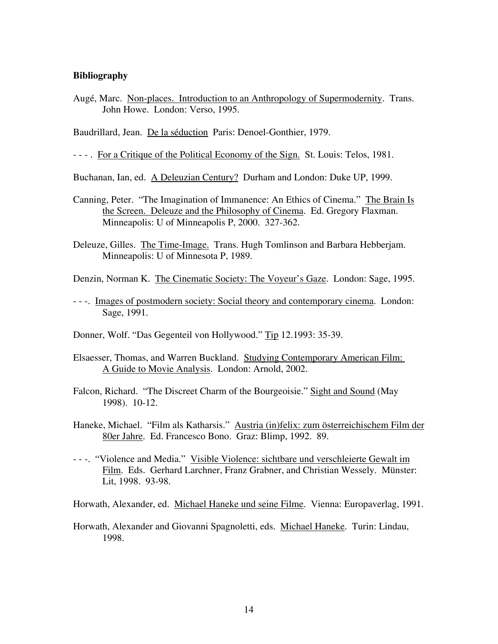## **Bibliography**

Augé, Marc. Non-places. Introduction to an Anthropology of Supermodernity. Trans. John Howe. London: Verso, 1995.

Baudrillard, Jean. De la séduction Paris: Denoel-Gonthier, 1979.

- - - . For a Critique of the Political Economy of the Sign. St. Louis: Telos, 1981.

Buchanan, Ian, ed. A Deleuzian Century? Durham and London: Duke UP, 1999.

- Canning, Peter. "The Imagination of Immanence: An Ethics of Cinema." The Brain Is the Screen. Deleuze and the Philosophy of Cinema. Ed. Gregory Flaxman. Minneapolis: U of Minneapolis P, 2000. 327-362.
- Deleuze, Gilles. The Time-Image. Trans. Hugh Tomlinson and Barbara Hebberjam. Minneapolis: U of Minnesota P, 1989.

Denzin, Norman K. The Cinematic Society: The Voyeur's Gaze. London: Sage, 1995.

- - -. Images of postmodern society: Social theory and contemporary cinema. London: Sage, 1991.

Donner, Wolf. "Das Gegenteil von Hollywood." Tip 12.1993: 35-39.

- Elsaesser, Thomas, and Warren Buckland. Studying Contemporary American Film: A Guide to Movie Analysis. London: Arnold, 2002.
- Falcon, Richard. "The Discreet Charm of the Bourgeoisie." Sight and Sound (May 1998). 10-12.
- Haneke, Michael. "Film als Katharsis." Austria (in)felix: zum österreichischem Film der 80er Jahre. Ed. Francesco Bono. Graz: Blimp, 1992. 89.
- - -. "Violence and Media." Visible Violence: sichtbare und verschleierte Gewalt im Film. Eds. Gerhard Larchner, Franz Grabner, and Christian Wessely. Münster: Lit, 1998. 93-98.

Horwath, Alexander, ed. Michael Haneke und seine Filme. Vienna: Europaverlag, 1991.

Horwath, Alexander and Giovanni Spagnoletti, eds. Michael Haneke. Turin: Lindau, 1998.